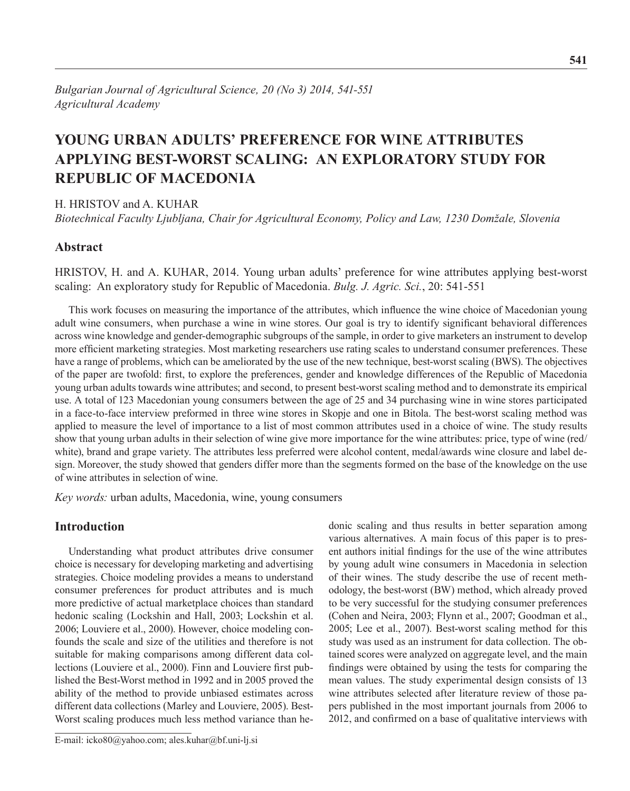# **Young urban adults' preference for wine attributes applying best-worst scaling: An exploratory study for Republic of Macedonia**

H. Hristov and A. Kuhar

*Biotechnical Faculty Ljubljana, Chair for Agricultural Economy, Policy and Law, 1230 Domžale, Slovenia*

## **Abstract**

HRISTOV, H. and A. KUHAR, 2014. Young urban adults' preference for wine attributes applying best-worst scaling: An exploratory study for Republic of Macedonia. *Bulg. J. Agric. Sci.*, 20: 541-551

This work focuses on measuring the importance of the attributes, which influence the wine choice of Macedonian young adult wine consumers, when purchase a wine in wine stores. Our goal is try to identify significant behavioral differences across wine knowledge and gender-demographic subgroups of the sample, in order to give marketers an instrument to develop more efficient marketing strategies. Most marketing researchers use rating scales to understand consumer preferences. These have a range of problems, which can be ameliorated by the use of the new technique, best-worst scaling (BWS). The objectives of the paper are twofold: first, to explore the preferences, gender and knowledge differences of the Republic of Macedonia young urban adults towards wine attributes; and second, to present best-worst scaling method and to demonstrate its empirical use. A total of 123 Macedonian young consumers between the age of 25 and 34 purchasing wine in wine stores participated in a face-to-face interview preformed in three wine stores in Skopje and one in Bitola. The best-worst scaling method was applied to measure the level of importance to a list of most common attributes used in a choice of wine. The study results show that young urban adults in their selection of wine give more importance for the wine attributes: price, type of wine (red/ white), brand and grape variety. The attributes less preferred were alcohol content, medal/awards wine closure and label design. Moreover, the study showed that genders differ more than the segments formed on the base of the knowledge on the use of wine attributes in selection of wine.

*Key words:* urban adults, Macedonia, wine, young consumers

## **Introduction**

Understanding what product attributes drive consumer choice is necessary for developing marketing and advertising strategies. Choice modeling provides a means to understand consumer preferences for product attributes and is much more predictive of actual marketplace choices than standard hedonic scaling (Lockshin and Hall, 2003; Lockshin et al. 2006; Louviere et al., 2000). However, choice modeling confounds the scale and size of the utilities and therefore is not suitable for making comparisons among different data collections (Louviere et al., 2000). Finn and Louviere first published the Best-Worst method in 1992 and in 2005 proved the ability of the method to provide unbiased estimates across different data collections (Marley and Louviere, 2005). Best-Worst scaling produces much less method variance than he-

E-mail: icko80@yahoo.com; ales.kuhar@bf.uni-lj.si

donic scaling and thus results in better separation among various alternatives. A main focus of this paper is to present authors initial findings for the use of the wine attributes by young adult wine consumers in Macedonia in selection of their wines. The study describe the use of recent methodology, the best-worst (BW) method, which already proved to be very successful for the studying consumer preferences (Cohen and Neira, 2003; Flynn et al., 2007; Goodman et al., 2005; Lee et al., 2007). Best-worst scaling method for this study was used as an instrument for data collection. The obtained scores were analyzed on aggregate level, and the main findings were obtained by using the tests for comparing the mean values. The study experimental design consists of 13 wine attributes selected after literature review of those papers published in the most important journals from 2006 to 2012, and confirmed on a base of qualitative interviews with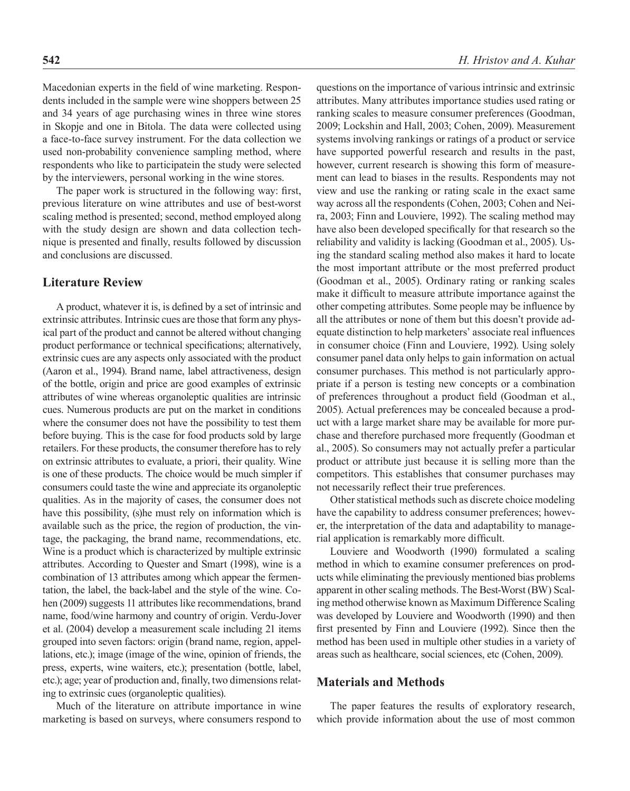Macedonian experts in the field of wine marketing. Respondents included in the sample were wine shoppers between 25 and 34 years of age purchasing wines in three wine stores in Skopje and one in Bitola. The data were collected using a face-to-face survey instrument. For the data collection we used non-probability convenience sampling method, where respondents who like to participatein the study were selected by the interviewers, personal working in the wine stores.

The paper work is structured in the following way: first, previous literature on wine attributes and use of best-worst scaling method is presented; second, method employed along with the study design are shown and data collection technique is presented and finally, results followed by discussion and conclusions are discussed.

## **Literature Review**

A product, whatever it is, is defined by a set of intrinsic and extrinsic attributes. Intrinsic cues are those that form any physical part of the product and cannot be altered without changing product performance or technical specifications; alternatively, extrinsic cues are any aspects only associated with the product (Aaron et al., 1994). Brand name, label attractiveness, design of the bottle, origin and price are good examples of extrinsic attributes of wine whereas organoleptic qualities are intrinsic cues. Numerous products are put on the market in conditions where the consumer does not have the possibility to test them before buying. This is the case for food products sold by large retailers. For these products, the consumer therefore has to rely on extrinsic attributes to evaluate, a priori, their quality. Wine is one of these products. The choice would be much simpler if consumers could taste the wine and appreciate its organoleptic qualities. As in the majority of cases, the consumer does not have this possibility, (s)he must rely on information which is available such as the price, the region of production, the vintage, the packaging, the brand name, recommendations, etc. Wine is a product which is characterized by multiple extrinsic attributes. According to Quester and Smart (1998), wine is a combination of 13 attributes among which appear the fermentation, the label, the back-label and the style of the wine. Cohen (2009) suggests 11 attributes like recommendations, brand name, food/wine harmony and country of origin. Verdu-Jover et al. (2004) develop a measurement scale including 21 items grouped into seven factors: origin (brand name, region, appellations, etc.); image (image of the wine, opinion of friends, the press, experts, wine waiters, etc.); presentation (bottle, label, etc.); age; year of production and, finally, two dimensions relating to extrinsic cues (organoleptic qualities).

Much of the literature on attribute importance in wine marketing is based on surveys, where consumers respond to questions on the importance of various intrinsic and extrinsic attributes. Many attributes importance studies used rating or ranking scales to measure consumer preferences (Goodman, 2009; Lockshin and Hall, 2003; Cohen, 2009). Measurement systems involving rankings or ratings of a product or service have supported powerful research and results in the past, however, current research is showing this form of measurement can lead to biases in the results. Respondents may not view and use the ranking or rating scale in the exact same way across all the respondents (Cohen, 2003; Cohen and Neira, 2003; Finn and Louviere, 1992). The scaling method may have also been developed specifically for that research so the reliability and validity is lacking (Goodman et al., 2005). Using the standard scaling method also makes it hard to locate the most important attribute or the most preferred product (Goodman et al., 2005). Ordinary rating or ranking scales make it difficult to measure attribute importance against the other competing attributes. Some people may be influence by all the attributes or none of them but this doesn't provide adequate distinction to help marketers' associate real influences in consumer choice (Finn and Louviere, 1992). Using solely consumer panel data only helps to gain information on actual consumer purchases. This method is not particularly appropriate if a person is testing new concepts or a combination of preferences throughout a product field (Goodman et al., 2005). Actual preferences may be concealed because a product with a large market share may be available for more purchase and therefore purchased more frequently (Goodman et al., 2005). So consumers may not actually prefer a particular product or attribute just because it is selling more than the competitors. This establishes that consumer purchases may not necessarily reflect their true preferences.

Other statistical methods such as discrete choice modeling have the capability to address consumer preferences; however, the interpretation of the data and adaptability to managerial application is remarkably more difficult.

Louviere and Woodworth (1990) formulated a scaling method in which to examine consumer preferences on products while eliminating the previously mentioned bias problems apparent in other scaling methods. The Best-Worst (BW) Scaling method otherwise known as Maximum Difference Scaling was developed by Louviere and Woodworth (1990) and then first presented by Finn and Louviere (1992). Since then the method has been used in multiple other studies in a variety of areas such as healthcare, social sciences, etc (Cohen, 2009).

#### **Materials and Methods**

The paper features the results of exploratory research, which provide information about the use of most common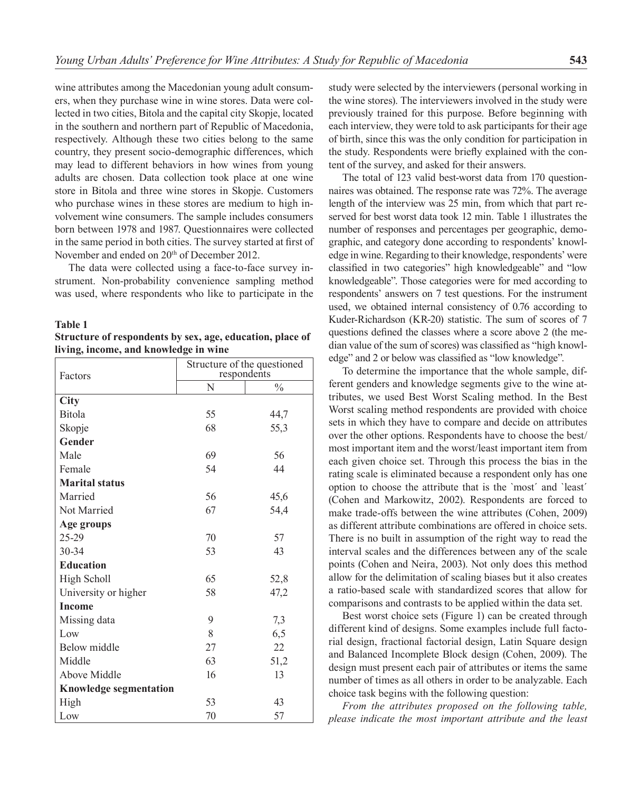wine attributes among the Macedonian young adult consumers, when they purchase wine in wine stores. Data were collected in two cities, Bitola and the capital city Skopje, located in the southern and northern part of Republic of Macedonia, respectively. Although these two cities belong to the same country, they present socio-demographic differences, which may lead to different behaviors in how wines from young adults are chosen. Data collection took place at one wine store in Bitola and three wine stores in Skopje. Customers who purchase wines in these stores are medium to high involvement wine consumers. The sample includes consumers born between 1978 and 1987. Questionnaires were collected in the same period in both cities. The survey started at first of November and ended on 20<sup>th</sup> of December 2012.

The data were collected using a face-to-face survey instrument. Non-probability convenience sampling method was used, where respondents who like to participate in the

#### **Table 1**

**Structure of respondents by sex, age, education, place of living, income, and knowledge in wine** 

| Factors                       | Structure of the questioned<br>respondents |               |  |  |  |  |
|-------------------------------|--------------------------------------------|---------------|--|--|--|--|
|                               | N                                          | $\frac{0}{0}$ |  |  |  |  |
| City                          |                                            |               |  |  |  |  |
| Bitola                        | 55                                         | 44,7          |  |  |  |  |
| Skopje                        | 68                                         | 55,3          |  |  |  |  |
| Gender                        |                                            |               |  |  |  |  |
| Male                          | 69                                         | 56            |  |  |  |  |
| Female                        | 54                                         | 44            |  |  |  |  |
| <b>Marital status</b>         |                                            |               |  |  |  |  |
| Married                       | 56                                         | 45,6          |  |  |  |  |
| Not Married                   | 67                                         | 54,4          |  |  |  |  |
| Age groups                    |                                            |               |  |  |  |  |
| 25-29                         | 70                                         | 57            |  |  |  |  |
| 30-34                         | 53                                         | 43            |  |  |  |  |
| <b>Education</b>              |                                            |               |  |  |  |  |
| High Scholl                   | 65                                         | 52,8          |  |  |  |  |
| University or higher          | 58                                         | 47,2          |  |  |  |  |
| <b>Income</b>                 |                                            |               |  |  |  |  |
| Missing data                  | 9                                          | 7,3           |  |  |  |  |
| Low                           | 8                                          | 6,5           |  |  |  |  |
| Below middle                  | 27                                         | 22            |  |  |  |  |
| Middle                        | 63                                         | 51,2          |  |  |  |  |
| Above Middle                  | 16                                         | 13            |  |  |  |  |
| <b>Knowledge segmentation</b> |                                            |               |  |  |  |  |
| High                          | 53                                         | 43            |  |  |  |  |
| Low                           | 70                                         | 57            |  |  |  |  |

study were selected by the interviewers (personal working in the wine stores). The interviewers involved in the study were previously trained for this purpose. Before beginning with each interview, they were told to ask participants for their age of birth, since this was the only condition for participation in the study. Respondents were briefly explained with the content of the survey, and asked for their answers.

The total of 123 valid best-worst data from 170 questionnaires was obtained. The response rate was 72%. The average length of the interview was 25 min, from which that part reserved for best worst data took 12 min. Table 1 illustrates the number of responses and percentages per geographic, demographic, and category done according to respondents' knowledge in wine. Regarding to their knowledge, respondents' were classified in two categories" high knowledgeable" and "low knowledgeable". Those categories were for med according to respondents' answers on 7 test questions. For the instrument used, we obtained internal consistency of 0.76 according to Kuder-Richardson (KR-20) statistic. The sum of scores of 7 questions defined the classes where a score above 2 (the median value of the sum of scores) was classified as "high knowledge" and 2 or below was classified as "low knowledge".

To determine the importance that the whole sample, different genders and knowledge segments give to the wine attributes, we used Best Worst Scaling method. In the Best Worst scaling method respondents are provided with choice sets in which they have to compare and decide on attributes over the other options. Respondents have to choose the best/ most important item and the worst/least important item from each given choice set. Through this process the bias in the rating scale is eliminated because a respondent only has one option to choose the attribute that is the `most´ and `least´ (Cohen and Markowitz, 2002). Respondents are forced to make trade-offs between the wine attributes (Cohen, 2009) as different attribute combinations are offered in choice sets. There is no built in assumption of the right way to read the interval scales and the differences between any of the scale points (Cohen and Neira, 2003). Not only does this method allow for the delimitation of scaling biases but it also creates a ratio-based scale with standardized scores that allow for comparisons and contrasts to be applied within the data set.

Best worst choice sets (Figure 1) can be created through different kind of designs. Some examples include full factorial design, fractional factorial design, Latin Square design and Balanced Incomplete Block design (Cohen, 2009). The design must present each pair of attributes or items the same number of times as all others in order to be analyzable. Each choice task begins with the following question:

*From the attributes proposed on the following table, please indicate the most important attribute and the least*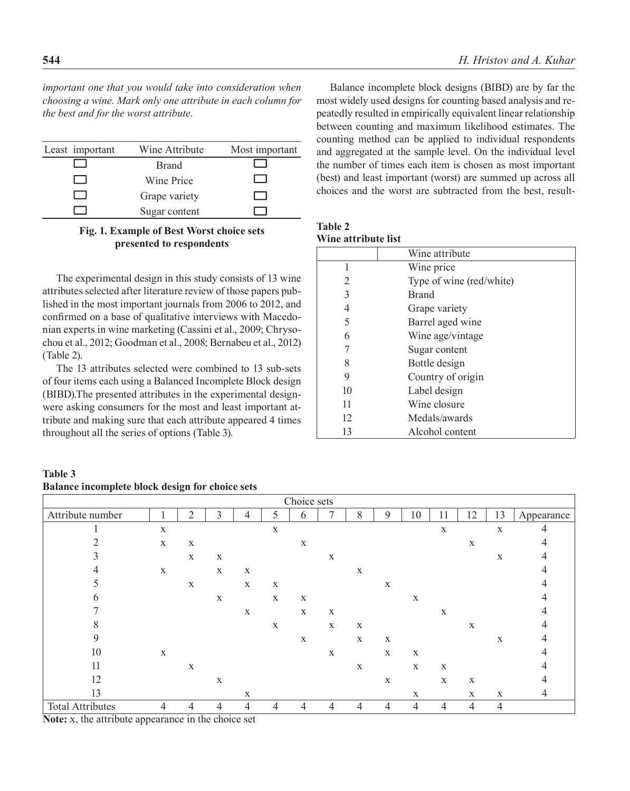*important one that you would take into consideration when choosing a wine. Mark only one attribute in each column for the best and for the worst attribute.*

| Least important | Wine Attribute | Most important |
|-----------------|----------------|----------------|
|                 | <b>Brand</b>   |                |
|                 | Wine Price     |                |
|                 | Grape variety  |                |
|                 | Sugar content  |                |

#### **Fig. 1. Example of Best Worst choice sets presented to respondents**

The experimental design in this study consists of 13 wine attributes selected after literature review of those papers published in the most important journals from 2006 to 2012, and confirmed on a base of qualitative interviews with Macedonian experts in wine marketing (Cassini et al., 2009; Chrysochou et al., 2012; Goodman et al., 2008; Bernabeu et al., 2012) (Table 2).

The 13 attributes selected were combined to 13 sub-sets of four items each using a Balanced Incomplete Block design (BIBD).The presented attributes in the experimental designwere asking consumers for the most and least important attribute and making sure that each attribute appeared 4 times throughout all the series of options (Table 3).

**Table 3 Balance incomplete block design for choice sets**

Balance incomplete block designs (BIBD) are by far the most widely used designs for counting based analysis and repeatedly resulted in empirically equivalent linear relationship between counting and maximum likelihood estimates. The counting method can be applied to individual respondents and aggregated at the sample level. On the individual level the number of times each item is chosen as most important (best) and least important (worst) are summed up across all choices and the worst are subtracted from the best, result-

**Table 2 Wine attribute list**

|    | Wine attribute           |
|----|--------------------------|
| 1  | Wine price               |
| 2  | Type of wine (red/white) |
| 3  | <b>Brand</b>             |
| 4  | Grape variety            |
| 5  | Barrel aged wine         |
| 6  | Wine age/vintage         |
| 7  | Sugar content            |
| 8  | Bottle design            |
| 9  | Country of origin        |
| 10 | Label design             |
| 11 | Wine closure             |
| 12 | Medals/awards            |
| 13 | Alcohol content          |

| Choice sets                                                                                                                                                                                                                                                      |                |                |                |                |             |             |             |             |                  |                |                |             |             |            |
|------------------------------------------------------------------------------------------------------------------------------------------------------------------------------------------------------------------------------------------------------------------|----------------|----------------|----------------|----------------|-------------|-------------|-------------|-------------|------------------|----------------|----------------|-------------|-------------|------------|
| Attribute number                                                                                                                                                                                                                                                 |                | $\overline{2}$ | $\mathfrak{Z}$ | 4              | 5           | 6           | 7           | $8\,$       | $\boldsymbol{9}$ | 10             | 11             | 12          | 13          | Appearance |
|                                                                                                                                                                                                                                                                  | $\mathbf X$    |                |                |                | $\mathbf X$ |             |             |             |                  |                | $\mathbf X$    |             | $\mathbf X$ | 4          |
|                                                                                                                                                                                                                                                                  | $\mathbf X$    | $\mathbf X$    |                |                |             | $\mathbf X$ |             |             |                  |                |                | X           |             | 4          |
|                                                                                                                                                                                                                                                                  |                | $\mathbf X$    | $\mathbf X$    |                |             |             | $\mathbf X$ |             |                  |                |                |             | $\mathbf X$ | 4          |
|                                                                                                                                                                                                                                                                  | $\mathbf X$    |                | $\mathbf X$    | $\mathbf X$    |             |             |             | $\mathbf X$ |                  |                |                |             |             |            |
|                                                                                                                                                                                                                                                                  |                | $\mathbf X$    |                | $\mathbf X$    | $\mathbf X$ |             |             |             | $\mathbf X$      |                |                |             |             |            |
|                                                                                                                                                                                                                                                                  |                |                | $\mathbf X$    |                | $\mathbf X$ | $\mathbf X$ |             |             |                  | $\mathbf X$    |                |             |             |            |
|                                                                                                                                                                                                                                                                  |                |                |                | $\mathbf X$    |             | $\mathbf X$ | $\mathbf X$ |             |                  |                | $\mathbf X$    |             |             |            |
| 8                                                                                                                                                                                                                                                                |                |                |                |                | $\mathbf X$ |             | $\mathbf X$ | $\mathbf X$ |                  |                |                | $\mathbf X$ |             |            |
| 9                                                                                                                                                                                                                                                                |                |                |                |                |             | $\mathbf X$ |             | $\mathbf X$ | $\mathbf X$      |                |                |             | $\mathbf X$ | 4          |
| 10                                                                                                                                                                                                                                                               | $\mathbf X$    |                |                |                |             |             | $\mathbf X$ |             | $\mathbf X$      | $\mathbf X$    |                |             |             |            |
| 11                                                                                                                                                                                                                                                               |                | $\mathbf X$    |                |                |             |             |             | $\mathbf X$ |                  | $\mathbf X$    | $\mathbf X$    |             |             |            |
| 12                                                                                                                                                                                                                                                               |                |                | $\mathbf X$    |                |             |             |             |             | $\mathbf X$      |                | $\mathbf X$    | $\mathbf X$ |             |            |
| 13                                                                                                                                                                                                                                                               |                |                |                | $\mathbf{X}$   |             |             |             |             |                  | $\mathbf X$    |                | $\mathbf X$ | $\mathbf X$ | 4          |
| <b>Total Attributes</b><br>$\mathbf{M}$ and $\mathbf{M}$ are associated to the contract of the set of the set of the contract of the set of the set of the set of the set of the set of the set of the set of the set of the set of the set of the set of the se | $\overline{4}$ | 4              | $\overline{4}$ | $\overline{4}$ | 4           | 4           | 4           | 4           | 4                | $\overline{4}$ | $\overline{4}$ | 4           | 4           |            |

**Note:** x, the attribute appearance in the choice set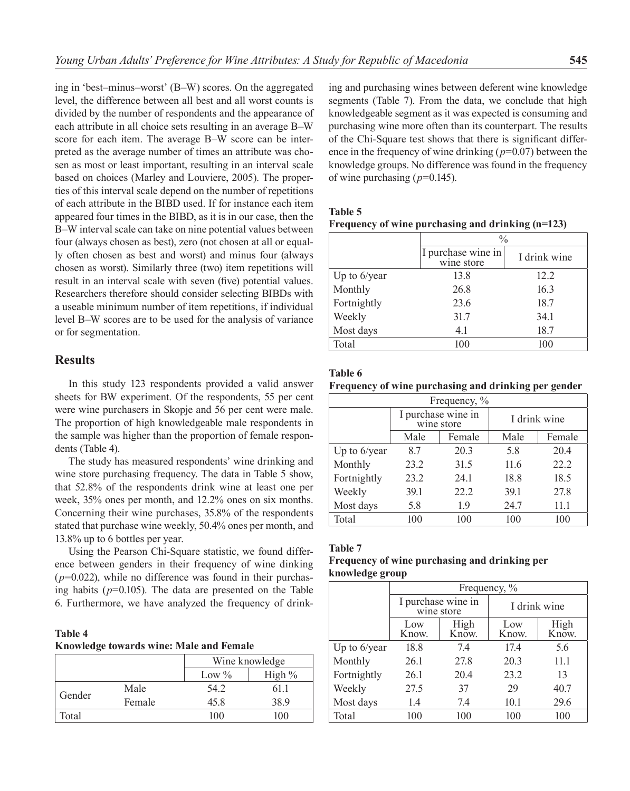ing in 'best–minus–worst' (B–W) scores. On the aggregated level, the difference between all best and all worst counts is divided by the number of respondents and the appearance of each attribute in all choice sets resulting in an average B–W score for each item. The average B–W score can be interpreted as the average number of times an attribute was chosen as most or least important, resulting in an interval scale based on choices (Marley and Louviere, 2005). The properties of this interval scale depend on the number of repetitions of each attribute in the BIBD used. If for instance each item appeared four times in the BIBD, as it is in our case, then the B–W interval scale can take on nine potential values between four (always chosen as best), zero (not chosen at all or equally often chosen as best and worst) and minus four (always chosen as worst). Similarly three (two) item repetitions will result in an interval scale with seven (five) potential values. Researchers therefore should consider selecting BIBDs with a useable minimum number of item repetitions, if individual level B–W scores are to be used for the analysis of variance or for segmentation.

# **Results**

In this study 123 respondents provided a valid answer sheets for BW experiment. Of the respondents, 55 per cent were wine purchasers in Skopje and 56 per cent were male. The proportion of high knowledgeable male respondents in the sample was higher than the proportion of female respondents (Table 4).

The study has measured respondents' wine drinking and wine store purchasing frequency. The data in Table 5 show, that 52.8% of the respondents drink wine at least one per week, 35% ones per month, and 12.2% ones on six months. Concerning their wine purchases, 35.8% of the respondents stated that purchase wine weekly, 50.4% ones per month, and 13.8% up to 6 bottles per year.

Using the Pearson Chi-Square statistic, we found difference between genders in their frequency of wine dinking  $(p=0.022)$ , while no difference was found in their purchasing habits  $(p=0.105)$ . The data are presented on the Table 6. Furthermore, we have analyzed the frequency of drink-

**Table 4 Knowledge towards wine: Male and Female**

|        |        |          | Wine knowledge |  |  |
|--------|--------|----------|----------------|--|--|
|        |        | Low $\%$ | High %         |  |  |
| Gender | Male   | 54.2     | 61.1           |  |  |
|        | Female | 45 8     | 389            |  |  |
| Total  |        | 100      | 100            |  |  |

ing and purchasing wines between deferent wine knowledge segments (Table 7). From the data, we conclude that high knowledgeable segment as it was expected is consuming and purchasing wine more often than its counterpart. The results of the Chi-Square test shows that there is significant difference in the frequency of wine drinking (*p*=0.07) between the knowledge groups. No difference was found in the frequency of wine purchasing (*p*=0.145).

| <b>Table 5</b> |                                                   |  |  |
|----------------|---------------------------------------------------|--|--|
|                | Frequency of wine purchasing and drinking (n=123) |  |  |

|                 | $\frac{0}{0}$                    |              |  |  |  |
|-----------------|----------------------------------|--------------|--|--|--|
|                 | I purchase wine in<br>wine store | I drink wine |  |  |  |
| Up to $6$ /year | 13.8                             | 12.2         |  |  |  |
| Monthly         | 26.8                             | 16.3         |  |  |  |
| Fortnightly     | 23.6                             | 18.7         |  |  |  |
| Weekly          | 31.7                             | 34.1         |  |  |  |
| Most days       | 4.1                              | 18.7         |  |  |  |
| Total           | 100                              | 100          |  |  |  |

#### **Table 6**

**Frequency of wine purchasing and drinking per gender**

| Frequency, %    |      |                                  |              |        |  |  |  |
|-----------------|------|----------------------------------|--------------|--------|--|--|--|
|                 |      | I purchase wine in<br>wine store | I drink wine |        |  |  |  |
|                 | Male | Female                           | Male         | Female |  |  |  |
| Up to $6$ /year | 8.7  | 20.3                             | 5.8          | 20.4   |  |  |  |
| Monthly         | 23.2 | 31.5                             |              | 22.2   |  |  |  |
| Fortnightly     | 23.2 | 24.1                             | 18.8         | 18.5   |  |  |  |
| Weekly          | 39.1 | 22.2                             | 39.1         | 27.8   |  |  |  |
| Most days       | 5.8  | 1.9                              | 24.7         | 11.1   |  |  |  |
| Total           | 100  | 100                              | 100          | 100    |  |  |  |

#### **Table 7**

## **Frequency of wine purchasing and drinking per knowledge group**

|              | Frequency, % |                                  |              |               |  |  |  |
|--------------|--------------|----------------------------------|--------------|---------------|--|--|--|
|              |              | I purchase wine in<br>wine store | I drink wine |               |  |  |  |
|              | Low<br>Know. | High<br>Know.                    | Low<br>Know. | High<br>Know. |  |  |  |
| Up to 6/year | 18.8         | 7.4                              | 17.4         | 5.6           |  |  |  |
| Monthly      | 26.1         | 27.8                             | 20.3         | 11.1          |  |  |  |
| Fortnightly  | 26.1         | 20.4                             | 23.2         | 13            |  |  |  |
| Weekly       | 27.5         | 37                               | 29           | 40.7          |  |  |  |
| Most days    | 1.4          | 7.4                              | 10.1         | 29.6          |  |  |  |
| Total        | 100          | 100                              | 100          | 100           |  |  |  |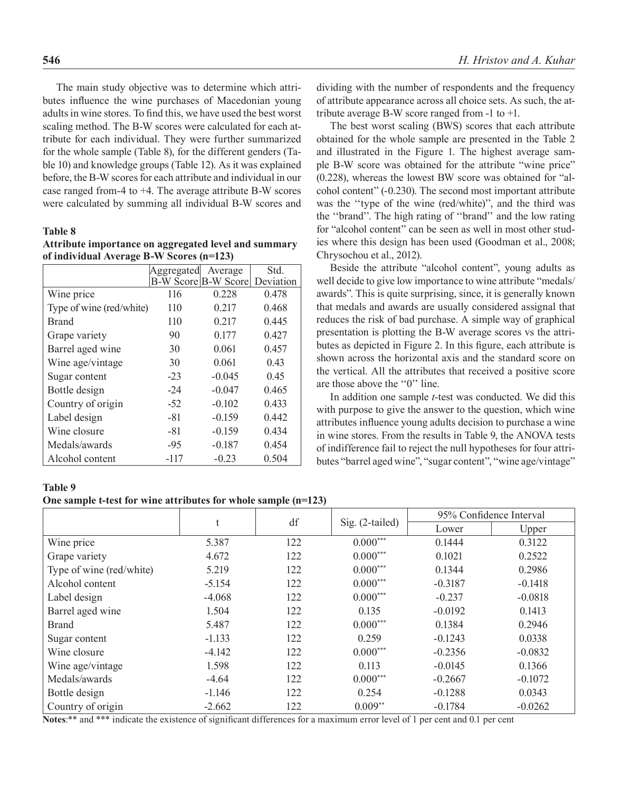The main study objective was to determine which attributes influence the wine purchases of Macedonian young adults in wine stores. To find this, we have used the best worst scaling method. The B-W scores were calculated for each attribute for each individual. They were further summarized for the whole sample (Table 8), for the different genders (Table 10) and knowledge groups (Table 12). As it was explained before, the B-W scores for each attribute and individual in our case ranged from-4 to +4. The average attribute B-W scores were calculated by summing all individual B-W scores and

#### **Table 8**

| Attribute importance on aggregated level and summary |  |  |  |
|------------------------------------------------------|--|--|--|
| of individual Average B-W Scores (n=123)             |  |  |  |

|                          | Aggregated | Average                    | Std.      |
|--------------------------|------------|----------------------------|-----------|
|                          |            | <b>B-W Score B-W Score</b> | Deviation |
| Wine price               | 116        | 0.228                      | 0.478     |
| Type of wine (red/white) | 110        | 0.217                      | 0.468     |
| <b>Brand</b>             | 110        | 0.217                      | 0.445     |
| Grape variety            | 90         | 0.177                      | 0.427     |
| Barrel aged wine         | 30         | 0.061                      | 0.457     |
| Wine age/vintage         | 30         | 0.061                      | 0.43      |
| Sugar content            | $-23$      | $-0.045$                   | 0.45      |
| Bottle design            | $-24$      | $-0.047$                   | 0.465     |
| Country of origin        | $-52$      | $-0.102$                   | 0.433     |
| Label design             | $-81$      | $-0.159$                   | 0.442     |
| Wine closure             | $-81$      | $-0.159$                   | 0.434     |
| Medals/awards            | $-95$      | $-0.187$                   | 0.454     |
| Alcohol content          | -117       | $-0.23$                    | 0.504     |

dividing with the number of respondents and the frequency of attribute appearance across all choice sets. As such, the attribute average B-W score ranged from -1 to +1.

The best worst scaling (BWS) scores that each attribute obtained for the whole sample are presented in the Table 2 and illustrated in the Figure 1. The highest average sample B-W score was obtained for the attribute "wine price" (0.228), whereas the lowest BW score was obtained for "alcohol content" (-0.230). The second most important attribute was the ''type of the wine (red/white)'', and the third was the ''brand''. The high rating of ''brand'' and the low rating for "alcohol content" can be seen as well in most other studies where this design has been used (Goodman et al., 2008; Chrysochou et al., 2012).

Beside the attribute "alcohol content", young adults as well decide to give low importance to wine attribute "medals/ awards". This is quite surprising, since, it is generally known that medals and awards are usually considered assignal that reduces the risk of bad purchase. A simple way of graphical presentation is plotting the B-W average scores vs the attributes as depicted in Figure 2. In this figure, each attribute is shown across the horizontal axis and the standard score on the vertical. All the attributes that received a positive score are those above the ''0'' line.

In addition one sample *t*-test was conducted. We did this with purpose to give the answer to the question, which wine attributes influence young adults decision to purchase a wine in wine stores. From the results in Table 9, the ANOVA tests of indifference fail to reject the null hypotheses for four attributes "barrel aged wine", "sugar content", "wine age/vintage"

#### **Table 9**

#### **One sample t-test for wine attributes for whole sample (n=123)**

|                          | t        | df  | $Sig. (2-tailed)$ | 95% Confidence Interval |           |  |
|--------------------------|----------|-----|-------------------|-------------------------|-----------|--|
|                          |          |     |                   | Lower                   | Upper     |  |
| Wine price               | 5.387    | 122 | $0.000***$        | 0.1444                  | 0.3122    |  |
| Grape variety            | 4.672    | 122 | $0.000***$        | 0.1021                  | 0.2522    |  |
| Type of wine (red/white) | 5.219    | 122 | $0.000***$        | 0.1344                  | 0.2986    |  |
| Alcohol content          | $-5.154$ | 122 | $0.000***$        | $-0.3187$               | $-0.1418$ |  |
| Label design             | $-4.068$ | 122 | $0.000***$        | $-0.237$                | $-0.0818$ |  |
| Barrel aged wine         | 1.504    | 122 | 0.135             | $-0.0192$               | 0.1413    |  |
| <b>Brand</b>             | 5.487    | 122 | $0.000***$        | 0.1384                  | 0.2946    |  |
| Sugar content            | $-1.133$ | 122 | 0.259             | $-0.1243$               | 0.0338    |  |
| Wine closure             | $-4.142$ | 122 | $0.000***$        | $-0.2356$               | $-0.0832$ |  |
| Wine age/vintage         | 1.598    | 122 | 0.113             | $-0.0145$               | 0.1366    |  |
| Medals/awards            | $-4.64$  | 122 | $0.000***$        | $-0.2667$               | $-0.1072$ |  |
| Bottle design            | $-1.146$ | 122 | 0.254             | $-0.1288$               | 0.0343    |  |
| Country of origin        | $-2.662$ | 122 | $0.009**$         | $-0.1784$               | $-0.0262$ |  |

**Notes**:\*\* and \*\*\* indicate the existence of significant differences for a maximum error level of 1 per cent and 0.1 per cent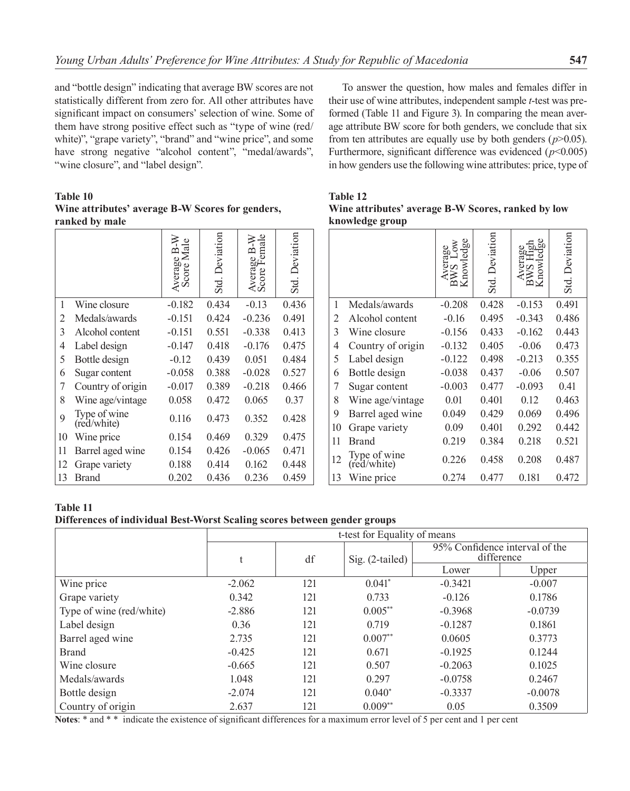and "bottle design" indicating that average BW scores are not statistically different from zero for. All other attributes have significant impact on consumers' selection of wine. Some of them have strong positive effect such as "type of wine (red/ white)", "grape variety", "brand" and "wine price", and some have strong negative "alcohol content", "medal/awards", "wine closure", and "label design".

**Table 10 Wine attributes' average B-W Scores for genders, ranked by male**

|    |                             | Ma<br>⋍<br>Average<br>Score N | Deviation<br>Std. | ale<br>}<br>B-W<br>em<br>Average 1<br>Score Fei | <b>Deviation</b><br>Std. |
|----|-----------------------------|-------------------------------|-------------------|-------------------------------------------------|--------------------------|
| 1  | Wine closure                | $-0.182$                      | 0.434             | $-0.13$                                         | 0.436                    |
| 2  | Medals/awards               | $-0.151$                      | 0.424             | $-0.236$                                        | 0.491                    |
| 3  | Alcohol content             | $-0.151$                      | 0.551             | $-0.338$                                        | 0.413                    |
| 4  | Label design                | $-0.147$                      | 0.418             | $-0.176$                                        | 0.475                    |
| 5  | Bottle design               | $-0.12$                       | 0.439             | 0.051                                           | 0.484                    |
| 6  | Sugar content               | $-0.058$                      | 0.388             | $-0.028$                                        | 0.527                    |
| 7  | Country of origin           | $-0.017$                      | 0.389             | $-0.218$                                        | 0.466                    |
| 8  | Wine age/vintage            | 0.058                         | 0.472             | 0.065                                           | 0.37                     |
| 9  | Type of wine<br>(red/white) | 0.116                         | 0.473             | 0.352                                           | 0.428                    |
| 10 | Wine price                  | 0.154                         | 0.469             | 0.329                                           | 0.475                    |
| 11 | Barrel aged wine            | 0.154                         | 0.426             | $-0.065$                                        | 0.471                    |
| 12 | Grape variety               | 0.188                         | 0.414             | 0.162                                           | 0.448                    |
| 13 | Brand                       | 0.202                         | 0.436             | 0.236                                           | 0.459                    |

To answer the question, how males and females differ in their use of wine attributes, independent sample *t*-test was preformed (Table 11 and Figure 3). In comparing the mean average attribute BW score for both genders, we conclude that six from ten attributes are equally use by both genders (*p*>0.05). Furthermore, significant difference was evidenced  $(p<0.005)$ in how genders use the following wine attributes: price, type of

## **Table 12 Wine attributes' average B-W Scores, ranked by low knowledge group**

|    |                             | 96       | Deviation<br>Std. | æ<br>≃   | <b>Deviation</b><br>Std |
|----|-----------------------------|----------|-------------------|----------|-------------------------|
| 1  | Medals/awards               | $-0.208$ | 0.428             | $-0.153$ | 0.491                   |
| 2  | Alcohol content             | $-0.16$  | 0.495             | $-0.343$ | 0.486                   |
| 3  | Wine closure                | $-0.156$ | 0.433             | $-0.162$ | 0.443                   |
| 4  | Country of origin           | $-0.132$ | 0.405             | $-0.06$  | 0.473                   |
| 5  | Label design                | $-0.122$ | 0.498             | $-0.213$ | 0.355                   |
| 6  | Bottle design               | $-0.038$ | 0.437             | $-0.06$  | 0.507                   |
| 7  | Sugar content               | $-0.003$ | 0.477             | $-0.093$ | 0.41                    |
| 8  | Wine age/vintage            | 0.01     | 0.401             | 0.12     | 0.463                   |
| 9  | Barrel aged wine            | 0.049    | 0.429             | 0.069    | 0.496                   |
| 10 | Grape variety               | 0.09     | 0.401             | 0.292    | 0.442                   |
| 11 | <b>Brand</b>                | 0.219    | 0.384             | 0.218    | 0.521                   |
| 12 | Type of wine<br>(red/white) | 0.226    | 0.458             | 0.208    | 0.487                   |
| 13 | Wine price                  | 0.274    | 0.477             | 0.181    | 0.472                   |

**Table 11 Differences of individual Best-Worst Scaling scores between gender groups** 

|                          | t-test for Equality of means |     |                   |                                              |           |
|--------------------------|------------------------------|-----|-------------------|----------------------------------------------|-----------|
|                          | t                            | df  | $Sig. (2-tailed)$ | 95% Confidence interval of the<br>difference |           |
|                          |                              |     |                   | Lower                                        | Upper     |
| Wine price               | $-2.062$                     | 121 | $0.041*$          | $-0.3421$                                    | $-0.007$  |
| Grape variety            | 0.342                        | 121 | 0.733             | $-0.126$                                     | 0.1786    |
| Type of wine (red/white) | $-2.886$                     | 121 | $0.005**$         | $-0.3968$                                    | $-0.0739$ |
| Label design             | 0.36                         | 121 | 0.719             | $-0.1287$                                    | 0.1861    |
| Barrel aged wine         | 2.735                        | 121 | $0.007**$         | 0.0605                                       | 0.3773    |
| <b>Brand</b>             | $-0.425$                     | 121 | 0.671             | $-0.1925$                                    | 0.1244    |
| Wine closure             | $-0.665$                     | 121 | 0.507             | $-0.2063$                                    | 0.1025    |
| Medals/awards            | 1.048                        | 121 | 0.297             | $-0.0758$                                    | 0.2467    |
| Bottle design            | $-2.074$                     | 121 | $0.040*$          | $-0.3337$                                    | $-0.0078$ |
| Country of origin        | 2.637<br>$\cdots$            | 121 | $0.009**$         | 0.05                                         | 0.3509    |

**Notes**: \* and \* \* indicate the existence of significant differences for a maximum error level of 5 per cent and 1 per cent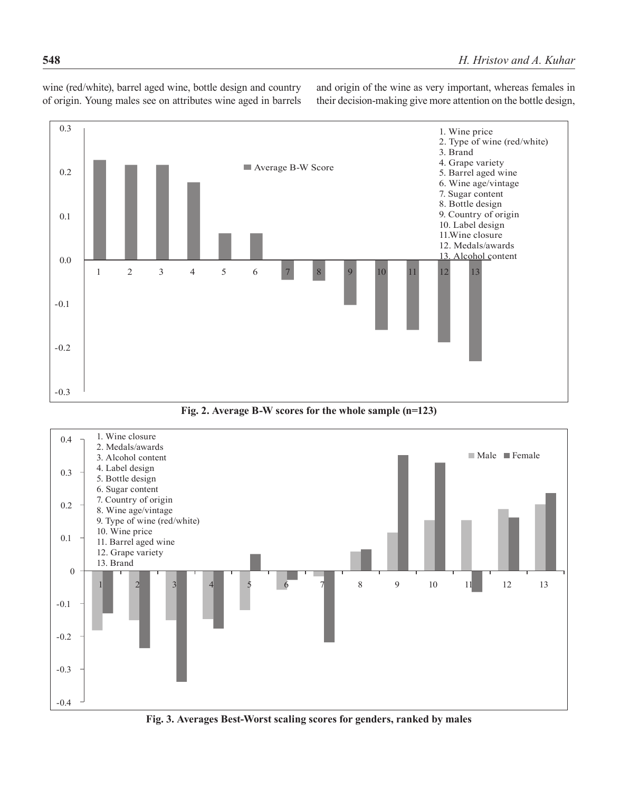wine (red/white), barrel aged wine, bottle design and country of origin. Young males see on attributes wine aged in barrels and origin of the wine as very important, whereas females in their decision-making give more attention on the bottle design,



**Fig. 2. Average B-W scores for the whole sample (n=123)**



**Fig. 3. Averages Best-Worst scaling scores for genders, ranked by males**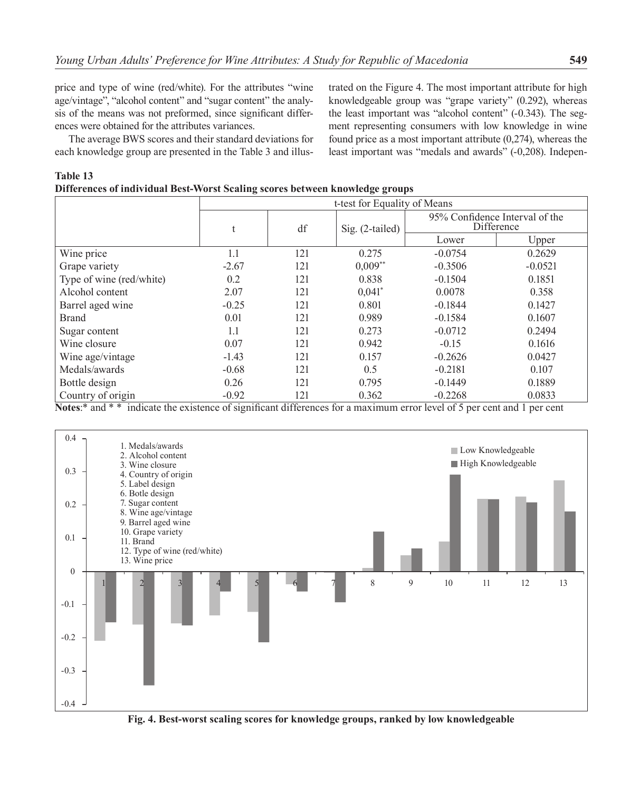price and type of wine (red/white). For the attributes "wine age/vintage", "alcohol content" and "sugar content" the analysis of the means was not preformed, since significant differences were obtained for the attributes variances.

The average BWS scores and their standard deviations for each knowledge group are presented in the Table 3 and illus-

trated on the Figure 4. The most important attribute for high knowledgeable group was "grape variety" (0.292), whereas the least important was "alcohol content" (-0.343). The segment representing consumers with low knowledge in wine found price as a most important attribute (0,274), whereas the least important was "medals and awards" (-0,208). Indepen-

| Differences of individual Best-Worst Scaling scores between knowledge groups |                              |     |                   |                                              |           |  |  |
|------------------------------------------------------------------------------|------------------------------|-----|-------------------|----------------------------------------------|-----------|--|--|
|                                                                              | t-test for Equality of Means |     |                   |                                              |           |  |  |
|                                                                              | t                            | df  | $Sig. (2-tailed)$ | 95% Confidence Interval of the<br>Difference |           |  |  |
|                                                                              |                              |     |                   | Lower                                        | Upper     |  |  |
| Wine price                                                                   | 1.1                          | 121 | 0.275             | $-0.0754$                                    | 0.2629    |  |  |
| Grape variety                                                                | $-2.67$                      | 121 | $0,009**$         | $-0.3506$                                    | $-0.0521$ |  |  |
| Type of wine (red/white)                                                     | 0.2                          | 121 | 0.838             | $-0.1504$                                    | 0.1851    |  |  |
| Alcohol content                                                              | 2.07                         | 121 | $0,041$ *         | 0.0078                                       | 0.358     |  |  |
| Barrel aged wine                                                             | $-0.25$                      | 121 | 0.801             | $-0.1844$                                    | 0.1427    |  |  |
| <b>Brand</b>                                                                 | 0.01                         | 121 | 0.989             | $-0.1584$                                    | 0.1607    |  |  |
| Sugar content                                                                | 1.1                          | 121 | 0.273             | $-0.0712$                                    | 0.2494    |  |  |
| Wine closure                                                                 | 0.07                         | 121 | 0.942             | $-0.15$                                      | 0.1616    |  |  |
| Wine age/vintage                                                             | $-1.43$                      | 121 | 0.157             | $-0.2626$                                    | 0.0427    |  |  |
| Medals/awards                                                                | $-0.68$                      | 121 | 0.5               | $-0.2181$                                    | 0.107     |  |  |
| Bottle design                                                                | 0.26                         | 121 | 0.795             | $-0.1449$                                    | 0.1889    |  |  |
| Country of origin                                                            | $-0.92$                      | 121 | 0.362             | $-0.2268$                                    | 0.0833    |  |  |

**Table 13** 

**Notes**:\* and \* \* indicate the existence of significant differences for a maximum error level of 5 per cent and 1 per cent



**Fig. 4. Best-worst scaling scores for knowledge groups, ranked by low knowledgeable**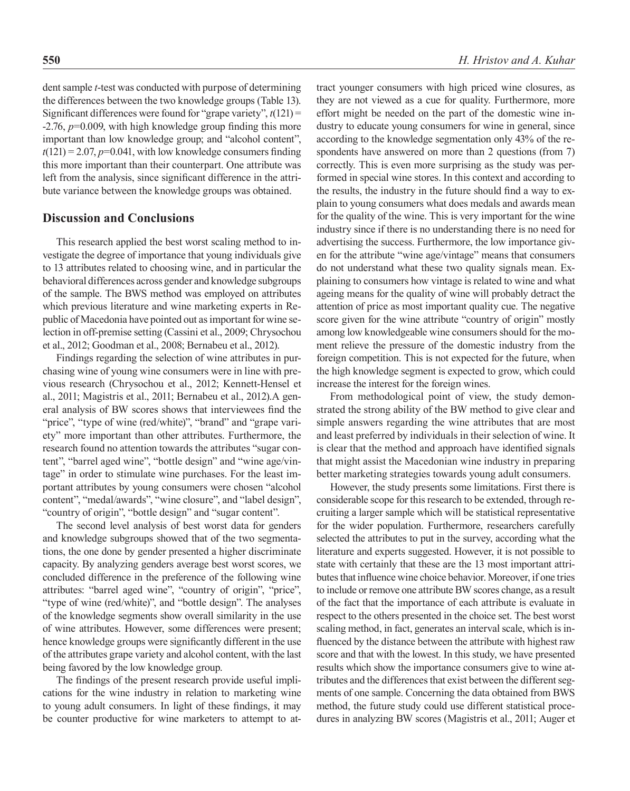dent sample *t*-test was conducted with purpose of determining the differences between the two knowledge groups (Table 13). Significant differences were found for "grape variety", *t*(121) = -2.76, *p*=0.009, with high knowledge group finding this more important than low knowledge group; and "alcohol content",  $t(121) = 2.07$ ,  $p=0.041$ , with low knowledge consumers finding this more important than their counterpart. One attribute was left from the analysis, since significant difference in the attribute variance between the knowledge groups was obtained.

#### **Discussion and Conclusions**

This research applied the best worst scaling method to investigate the degree of importance that young individuals give to 13 attributes related to choosing wine, and in particular the behavioral differences across gender and knowledge subgroups of the sample. The BWS method was employed on attributes which previous literature and wine marketing experts in Republic of Macedonia have pointed out as important for wine selection in off-premise setting (Cassini et al., 2009; Chrysochou et al., 2012; Goodman et al., 2008; Bernabeu et al., 2012).

Findings regarding the selection of wine attributes in purchasing wine of young wine consumers were in line with previous research (Chrysochou et al., 2012; Kennett-Hensel et al., 2011; Magistris et al., 2011; Bernabeu et al., 2012).A general analysis of BW scores shows that interviewees find the "price", "type of wine (red/white)", "brand" and "grape variety" more important than other attributes. Furthermore, the research found no attention towards the attributes "sugar content", "barrel aged wine", "bottle design" and "wine age/vintage" in order to stimulate wine purchases. For the least important attributes by young consumers were chosen "alcohol content", "medal/awards", "wine closure", and "label design", "country of origin", "bottle design" and "sugar content".

The second level analysis of best worst data for genders and knowledge subgroups showed that of the two segmentations, the one done by gender presented a higher discriminate capacity. By analyzing genders average best worst scores, we concluded difference in the preference of the following wine attributes: "barrel aged wine", "country of origin", "price", "type of wine (red/white)", and "bottle design". The analyses of the knowledge segments show overall similarity in the use of wine attributes. However, some differences were present; hence knowledge groups were significantly different in the use of the attributes grape variety and alcohol content, with the last being favored by the low knowledge group.

The findings of the present research provide useful implications for the wine industry in relation to marketing wine to young adult consumers. In light of these findings, it may be counter productive for wine marketers to attempt to attract younger consumers with high priced wine closures, as they are not viewed as a cue for quality. Furthermore, more effort might be needed on the part of the domestic wine industry to educate young consumers for wine in general, since according to the knowledge segmentation only 43% of the respondents have answered on more than 2 questions (from 7) correctly. This is even more surprising as the study was performed in special wine stores. In this context and according to the results, the industry in the future should find a way to explain to young consumers what does medals and awards mean for the quality of the wine. This is very important for the wine industry since if there is no understanding there is no need for advertising the success. Furthermore, the low importance given for the attribute "wine age/vintage" means that consumers do not understand what these two quality signals mean. Explaining to consumers how vintage is related to wine and what ageing means for the quality of wine will probably detract the attention of price as most important quality cue. The negative score given for the wine attribute "country of origin" mostly among low knowledgeable wine consumers should for the moment relieve the pressure of the domestic industry from the foreign competition. This is not expected for the future, when the high knowledge segment is expected to grow, which could increase the interest for the foreign wines.

From methodological point of view, the study demonstrated the strong ability of the BW method to give clear and simple answers regarding the wine attributes that are most and least preferred by individuals in their selection of wine. It is clear that the method and approach have identified signals that might assist the Macedonian wine industry in preparing better marketing strategies towards young adult consumers.

However, the study presents some limitations. First there is considerable scope for this research to be extended, through recruiting a larger sample which will be statistical representative for the wider population. Furthermore, researchers carefully selected the attributes to put in the survey, according what the literature and experts suggested. However, it is not possible to state with certainly that these are the 13 most important attributes that influence wine choice behavior. Moreover, if one tries to include or remove one attribute BW scores change, as a result of the fact that the importance of each attribute is evaluate in respect to the others presented in the choice set. The best worst scaling method, in fact, generates an interval scale, which is influenced by the distance between the attribute with highest raw score and that with the lowest. In this study, we have presented results which show the importance consumers give to wine attributes and the differences that exist between the different segments of one sample. Concerning the data obtained from BWS method, the future study could use different statistical procedures in analyzing BW scores (Magistris et al., 2011; Auger et